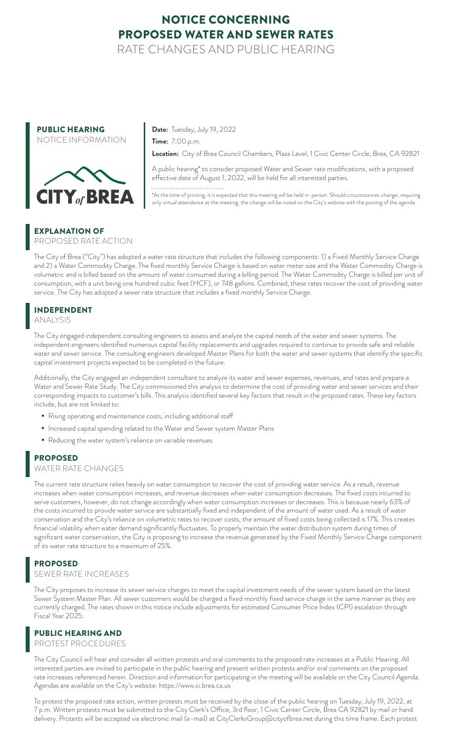## NOTICE CONCERNING PROPOSED WATER AND SEWER RATES

RATE CHANGES AND PUBLIC HEARING



**Date:** Tuesday, July 19, 2022

**Time:** 7:00 p.m.

**Location:** City of Brea Council Chambers, Plaza Level, 1 Civic Center Circle, Brea, CA 92821

A public hearing\* to consider proposed Water and Sewer rate modifications, with a proposed effective date of August 1, 2022, will be held for all interested parties.

\*At the time of printing, it is expected that this meeting will be held in-person. Should circumstances change, requiring only virtual attendance at the meeting, the change will be noted on the City's website with the posting of the agenda.

### EXPLANATION OF

PROPOSED RATE ACTION

The City of Brea ("City") has adopted a water rate structure that includes the following components: 1) a Fixed Monthly Service Charge and 2) a Water Commodity Charge. The fixed monthly Service Charge is based on water meter size and the Water Commodity Charge is volumetric and is billed based on the amount of water consumed during a billing period. The Water Commodity Charge is billed per unit of consumption, with a unit being one hundred cubic feet (HCF), or 748 gallons. Combined, these rates recover the cost of providing water service. The City has adopted a sewer rate structure that includes a fixed monthly Service Charge.

## INDEPENDENT

ANALYSIS

The City engaged independent consulting engineers to assess and analyze the capital needs of the water and sewer systems. The independent engineers identified numerous capital facility replacements and upgrades required to continue to provide safe and reliable water and sewer service. The consulting engineers developed Master Plans for both the water and sewer systems that identify the specific capital investment projects expected to be completed in the future.

Additionally, the City engaged an independent consultant to analyze its water and sewer expenses, revenues, and rates and prepare a Water and Sewer Rate Study. The City commissioned this analysis to determine the cost of providing water and sewer services and their corresponding impacts to customer's bills. This analysis identified several key factors that result in the proposed rates. These key factors include, but are not limited to:

- *•* Rising operating and maintenance costs, including additional staff
- *•* Increased capital spending related to the Water and Sewer system Master Plans
- *•* Reducing the water system's reliance on variable revenues

### PROPOSED

#### WATER RATE CHANGES

The current rate structure relies heavily on water consumption to recover the cost of providing water service. As a result, revenue increases when water consumption increases, and revenue decreases when water consumption decreases. The fixed costs incurred to serve customers, however, do not change accordingly when water consumption increases or decreases. This is because nearly 63% of the costs incurred to provide water service are substantially fixed and independent of the amount of water used. As a result of water conservation and the City's reliance on volumetric rates to recover costs, the amount of fixed costs being collected is 17%. This creates financial volatility when water demand significantly fluctuates. To properly maintain the water distribution system during times of significant water conservation, the City is proposing to increase the revenue generated by the Fixed Monthly Service Charge component of its water rate structure to a maximum of 25%.

## PROPOSED

#### SEWER RATE INCREASES

The City proposes to increase its sewer service charges to meet the capital investment needs of the sewer system based on the latest Sewer System Master Plan. All sewer customers would be charged a fixed monthly fixed service charge in the same manner as they are currently charged. The rates shown in this notice include adjustments for estimated Consumer Price Index (CPI) escalation through Fiscal Year 2025.

### PUBLIC HEARING AND

PROTEST PROCEDURES

The City Council will hear and consider all written protests and oral comments to the proposed rate increases at a Public Hearing. All interested parties are invited to participate in the public hearing and present written protests and/or oral comments on the proposed rate increases referenced herein. Direction and information for participating in the meeting will be available on the City Council Agenda. Agendas are available on the City's website: https://www.ci.brea.ca.us

To protest the proposed rate action, written protests must be received by the close of the public hearing on Tuesday, July 19, 2022, at 7 p.m. Written protests must be submitted to the City Clerk's Office, 3rd floor, 1 Civic Center Circle, Brea CA 92821 by mail or hand delivery. Protests will be accepted via electronic mail (e-mail) at CityClerksGroup@cityofbrea.net during this time frame. Each protest